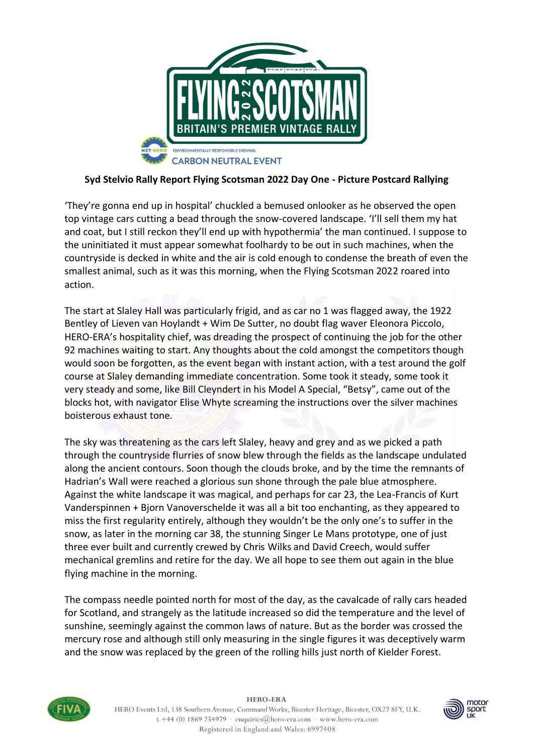

## **Syd Stelvio Rally Report Flying Scotsman 2022 Day One - Picture Postcard Rallying**

'They're gonna end up in hospital' chuckled a bemused onlooker as he observed the open top vintage cars cutting a bead through the snow-covered landscape. 'I'll sell them my hat and coat, but I still reckon they'll end up with hypothermia' the man continued. I suppose to the uninitiated it must appear somewhat foolhardy to be out in such machines, when the countryside is decked in white and the air is cold enough to condense the breath of even the smallest animal, such as it was this morning, when the Flying Scotsman 2022 roared into action.

The start at Slaley Hall was particularly frigid, and as car no 1 was flagged away, the 1922 Bentley of Lieven van Hoylandt + Wim De Sutter, no doubt flag waver Eleonora Piccolo, HERO-ERA's hospitality chief, was dreading the prospect of continuing the job for the other 92 machines waiting to start. Any thoughts about the cold amongst the competitors though would soon be forgotten, as the event began with instant action, with a test around the golf course at Slaley demanding immediate concentration. Some took it steady, some took it very steady and some, like Bill Cleyndert in his Model A Special, "Betsy", came out of the blocks hot, with navigator Elise Whyte screaming the instructions over the silver machines boisterous exhaust tone.

The sky was threatening as the cars left Slaley, heavy and grey and as we picked a path through the countryside flurries of snow blew through the fields as the landscape undulated along the ancient contours. Soon though the clouds broke, and by the time the remnants of Hadrian's Wall were reached a glorious sun shone through the pale blue atmosphere. Against the white landscape it was magical, and perhaps for car 23, the Lea-Francis of Kurt Vanderspinnen + Bjorn Vanoverschelde it was all a bit too enchanting, as they appeared to miss the first regularity entirely, although they wouldn't be the only one's to suffer in the snow, as later in the morning car 38, the stunning Singer Le Mans prototype, one of just three ever built and currently crewed by Chris Wilks and David Creech, would suffer mechanical gremlins and retire for the day. We all hope to see them out again in the blue flying machine in the morning.

The compass needle pointed north for most of the day, as the cavalcade of rally cars headed for Scotland, and strangely as the latitude increased so did the temperature and the level of sunshine, seemingly against the common laws of nature. But as the border was crossed the mercury rose and although still only measuring in the single figures it was deceptively warm and the snow was replaced by the green of the rolling hills just north of Kielder Forest.



**HERO-ERA** HERO Events Ltd, 138 Southern Avenue, Command Works, Bicester Heritage, Bicester, OX27 8FY, U.K. t.+44 (0) 1869 254979 · enquiries@hero-era.com · www.hero-era.com Registered in England and Wales: 6997408